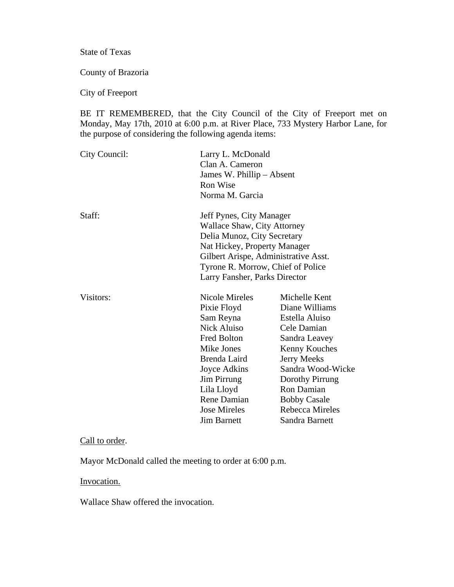State of Texas

County of Brazoria

City of Freeport

BE IT REMEMBERED, that the City Council of the City of Freeport met on Monday, May 17th, 2010 at 6:00 p.m. at River Place, 733 Mystery Harbor Lane, for the purpose of considering the following agenda items:

| City Council: | Larry L. McDonald<br>Clan A. Cameron<br>James W. Phillip – Absent<br>Ron Wise<br>Norma M. Garcia                                                                                                                                     |                                                                                                                                                                                                                                                   |
|---------------|--------------------------------------------------------------------------------------------------------------------------------------------------------------------------------------------------------------------------------------|---------------------------------------------------------------------------------------------------------------------------------------------------------------------------------------------------------------------------------------------------|
| Staff:        | Jeff Pynes, City Manager<br>Wallace Shaw, City Attorney<br>Delia Munoz, City Secretary<br>Nat Hickey, Property Manager<br>Gilbert Arispe, Administrative Asst.<br>Tyrone R. Morrow, Chief of Police<br>Larry Fansher, Parks Director |                                                                                                                                                                                                                                                   |
| Visitors:     | Nicole Mireles<br>Pixie Floyd<br>Sam Reyna<br>Nick Aluiso<br>Fred Bolton<br>Mike Jones<br>Brenda Laird<br>Joyce Adkins<br><b>Jim Pirrung</b><br>Lila Lloyd<br>Rene Damian<br><b>Jose Mireles</b><br><b>Jim Barnett</b>               | Michelle Kent<br>Diane Williams<br>Estella Aluiso<br>Cele Damian<br>Sandra Leavey<br><b>Kenny Kouches</b><br><b>Jerry Meeks</b><br>Sandra Wood-Wicke<br>Dorothy Pirrung<br>Ron Damian<br><b>Bobby Casale</b><br>Rebecca Mireles<br>Sandra Barnett |

## Call to order.

Mayor McDonald called the meeting to order at 6:00 p.m.

# Invocation.

Wallace Shaw offered the invocation.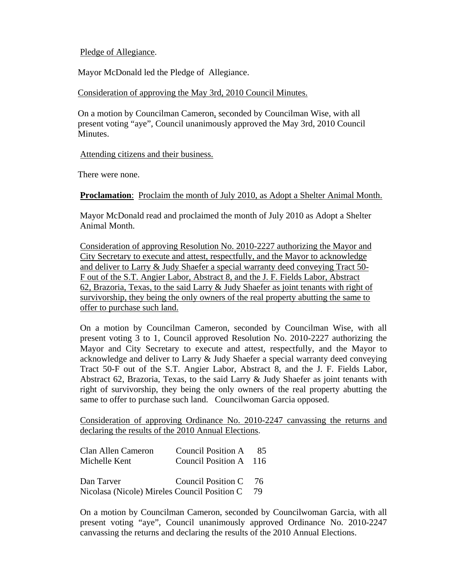# Pledge of Allegiance.

Mayor McDonald led the Pledge of Allegiance.

Consideration of approving the May 3rd, 2010 Council Minutes.

 On a motion by Councilman Cameron, seconded by Councilman Wise, with all present voting "aye", Council unanimously approved the May 3rd, 2010 Council Minutes.

Attending citizens and their business.

There were none.

**Proclamation**: Proclaim the month of July 2010, as Adopt a Shelter Animal Month.

 Mayor McDonald read and proclaimed the month of July 2010 as Adopt a Shelter Animal Month.

Consideration of approving Resolution No. 2010-2227 authorizing the Mayor and City Secretary to execute and attest, respectfully, and the Mayor to acknowledge and deliver to Larry & Judy Shaefer a special warranty deed conveying Tract 50- F out of the S.T. Angier Labor, Abstract 8, and the J. F. Fields Labor, Abstract 62, Brazoria, Texas, to the said Larry & Judy Shaefer as joint tenants with right of survivorship, they being the only owners of the real property abutting the same to offer to purchase such land.

On a motion by Councilman Cameron, seconded by Councilman Wise, with all present voting 3 to 1, Council approved Resolution No. 2010-2227 authorizing the Mayor and City Secretary to execute and attest, respectfully, and the Mayor to acknowledge and deliver to Larry & Judy Shaefer a special warranty deed conveying Tract 50-F out of the S.T. Angier Labor, Abstract 8, and the J. F. Fields Labor, Abstract 62, Brazoria, Texas, to the said Larry & Judy Shaefer as joint tenants with right of survivorship, they being the only owners of the real property abutting the same to offer to purchase such land. Councilwoman Garcia opposed.

Consideration of approving Ordinance No. 2010-2247 canvassing the returns and declaring the results of the 2010 Annual Elections.

| Clan Allen Cameron                           | Council Position A     | 85. |
|----------------------------------------------|------------------------|-----|
| Michelle Kent                                | Council Position A 116 |     |
|                                              |                        |     |
| Dan Tarver                                   | Council Position C     | 76. |
| Nicolasa (Nicole) Mireles Council Position C |                        | 79  |

On a motion by Councilman Cameron, seconded by Councilwoman Garcia, with all present voting "aye", Council unanimously approved Ordinance No. 2010-2247 canvassing the returns and declaring the results of the 2010 Annual Elections.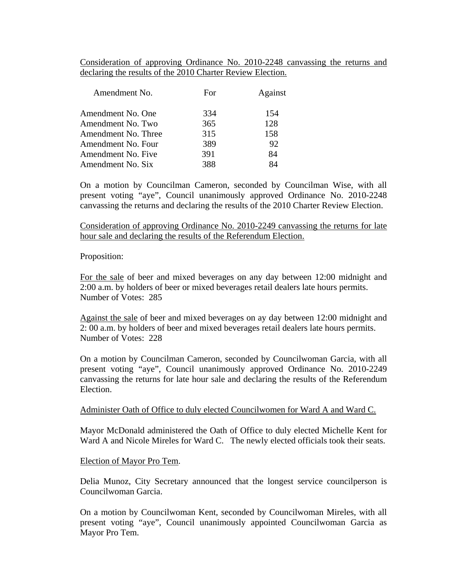Consideration of approving Ordinance No. 2010-2248 canvassing the returns and declaring the results of the 2010 Charter Review Election.

| Amendment No.       | For | Against |
|---------------------|-----|---------|
| Amendment No. One   | 334 | 154     |
| Amendment No. Two   | 365 | 128     |
| Amendment No. Three | 315 | 158     |
| Amendment No. Four  | 389 | 92      |
| Amendment No. Five  | 391 | 84      |
| Amendment No. Six   | 388 |         |

On a motion by Councilman Cameron, seconded by Councilman Wise, with all present voting "aye", Council unanimously approved Ordinance No. 2010-2248 canvassing the returns and declaring the results of the 2010 Charter Review Election.

Consideration of approving Ordinance No. 2010-2249 canvassing the returns for late hour sale and declaring the results of the Referendum Election.

### Proposition:

For the sale of beer and mixed beverages on any day between 12:00 midnight and 2:00 a.m. by holders of beer or mixed beverages retail dealers late hours permits. Number of Votes: 285

Against the sale of beer and mixed beverages on ay day between 12:00 midnight and 2: 00 a.m. by holders of beer and mixed beverages retail dealers late hours permits. Number of Votes: 228

On a motion by Councilman Cameron, seconded by Councilwoman Garcia, with all present voting "aye", Council unanimously approved Ordinance No. 2010-2249 canvassing the returns for late hour sale and declaring the results of the Referendum Election.

### Administer Oath of Office to duly elected Councilwomen for Ward A and Ward C.

Mayor McDonald administered the Oath of Office to duly elected Michelle Kent for Ward A and Nicole Mireles for Ward C. The newly elected officials took their seats.

### Election of Mayor Pro Tem.

Delia Munoz, City Secretary announced that the longest service councilperson is Councilwoman Garcia.

On a motion by Councilwoman Kent, seconded by Councilwoman Mireles, with all present voting "aye", Council unanimously appointed Councilwoman Garcia as Mayor Pro Tem.